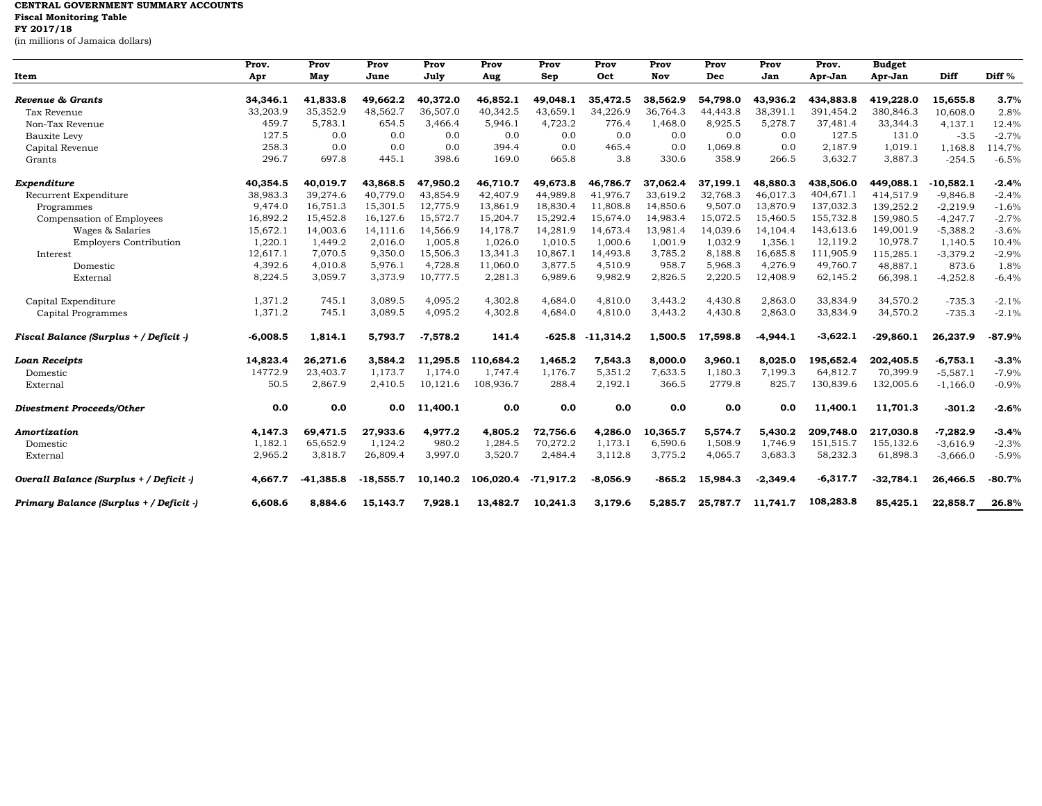## **CENTRAL GOVERNMENT SUMMARY ACCOUNTS Fiscal Monitoring Table FY 2017/18**

(in millions of Jamaica dollars)

|                                         | Prov.      | Prov        | Prov        | Prov       | Prov      | Prov        | Prov        | Prov     | Prov     | Prov       | Prov.      | <b>Budget</b> |             |          |
|-----------------------------------------|------------|-------------|-------------|------------|-----------|-------------|-------------|----------|----------|------------|------------|---------------|-------------|----------|
| Item                                    | Apr        | May         | June        | July       | Aug       | Sep         | Oct         | Nov      | Dec      | Jan        | Apr-Jan    | Apr-Jan       | Diff        | Diff %   |
|                                         |            |             |             |            |           |             |             |          |          |            |            |               |             |          |
| Revenue & Grants                        | 34,346.1   | 41,833.8    | 49,662.2    | 40,372.0   | 46,852.1  | 49,048.1    | 35,472.5    | 38,562.9 | 54,798.0 | 43,936.2   | 434,883.8  | 419,228.0     | 15,655.8    | 3.7%     |
| Tax Revenue                             | 33,203.9   | 35,352.9    | 48,562.7    | 36,507.0   | 40,342.5  | 43,659.1    | 34,226.9    | 36,764.3 | 44,443.8 | 38,391.1   | 391,454.2  | 380,846.3     | 10,608.0    | 2.8%     |
| Non-Tax Revenue                         | 459.7      | 5,783.1     | 654.5       | 3,466.4    | 5,946.1   | 4,723.2     | 776.4       | 1,468.0  | 8,925.5  | 5,278.7    | 37,481.4   | 33,344.3      | 4,137.1     | 12.4%    |
| Bauxite Levy                            | 127.5      | 0.0         | 0.0         | 0.0        | 0.0       | 0.0         | 0.0         | 0.0      | 0.0      | 0.0        | 127.5      | 131.0         | $-3.5$      | $-2.7%$  |
| Capital Revenue                         | 258.3      | 0.0         | 0.0         | 0.0        | 394.4     | 0.0         | 465.4       | 0.0      | 1,069.8  | 0.0        | 2,187.9    | 1,019.1       | 1,168.8     | 114.7%   |
| Grants                                  | 296.7      | 697.8       | 445.1       | 398.6      | 169.0     | 665.8       | 3.8         | 330.6    | 358.9    | 266.5      | 3,632.7    | 3,887.3       | $-254.5$    | $-6.5%$  |
| Expenditure                             | 40,354.5   | 40,019.7    | 43,868.5    | 47,950.2   | 46,710.7  | 49,673.8    | 46,786.7    | 37,062.4 | 37,199.1 | 48,880.3   | 438,506.0  | 449,088.1     | $-10,582.1$ | $-2.4%$  |
| Recurrent Expenditure                   | 38,983.3   | 39,274.6    | 40,779.0    | 43,854.9   | 42,407.9  | 44,989.8    | 41,976.7    | 33,619.2 | 32,768.3 | 46,017.3   | 404,671.1  | 414,517.9     | $-9,846.8$  | $-2.4%$  |
| Programmes                              | 9.474.0    | 16,751.3    | 15,301.5    | 12,775.9   | 13,861.9  | 18,830.4    | 11,808.8    | 14,850.6 | 9,507.0  | 13,870.9   | 137,032.3  | 139,252.2     | $-2,219.9$  | $-1.6%$  |
| Compensation of Employees               | 16,892.2   | 15,452.8    | 16,127.6    | 15,572.7   | 15,204.7  | 15,292.4    | 15,674.0    | 14,983.4 | 15,072.5 | 15,460.5   | 155,732.8  | 159,980.5     | $-4,247.7$  | $-2.7%$  |
| Wages & Salaries                        | 15,672.1   | 14,003.6    | 14,111.6    | 14,566.9   | 14,178.7  | 14,281.9    | 14,673.4    | 13,981.4 | 14,039.6 | 14,104.4   | 143,613.6  | 149,001.9     | $-5,388.2$  | $-3.6%$  |
| <b>Employers Contribution</b>           | 1,220.1    | 1,449.2     | 2.016.0     | 1.005.8    | 1.026.0   | 1.010.5     | 1.000.6     | 1,001.9  | 1,032.9  | 1.356.1    | 12,119.2   | 10,978.7      | 1,140.5     | 10.4%    |
| Interest                                | 12,617.1   | 7,070.5     | 9,350.0     | 15,506.3   | 13,341.3  | 10,867.1    | 14,493.8    | 3,785.2  | 8,188.8  | 16,685.8   | 111,905.9  | 115,285.1     | $-3,379.2$  | $-2.9%$  |
| Domestic                                | 4,392.6    | 4,010.8     | 5,976.1     | 4,728.8    | 11,060.0  | 3,877.5     | 4,510.9     | 958.7    | 5,968.3  | 4,276.9    | 49,760.7   | 48,887.1      | 873.6       | 1.8%     |
| External                                | 8,224.5    | 3,059.7     | 3,373.9     | 10,777.5   | 2,281.3   | 6,989.6     | 9,982.9     | 2,826.5  | 2,220.5  | 12,408.9   | 62,145.2   | 66,398.1      | $-4,252.8$  | $-6.4%$  |
| Capital Expenditure                     | 1,371.2    | 745.1       | 3,089.5     | 4,095.2    | 4,302.8   | 4,684.0     | 4,810.0     | 3,443.2  | 4,430.8  | 2,863.0    | 33,834.9   | 34,570.2      | $-735.3$    | $-2.1%$  |
| Capital Programmes                      | 1,371.2    | 745.1       | 3,089.5     | 4,095.2    | 4,302.8   | 4,684.0     | 4,810.0     | 3,443.2  | 4,430.8  | 2,863.0    | 33,834.9   | 34,570.2      | $-735.3$    | $-2.1%$  |
| Fiscal Balance (Surplus + / Deficit -)  | $-6,008.5$ | 1,814.1     | 5,793.7     | $-7,578.2$ | 141.4     | $-625.8$    | $-11,314.2$ | 1,500.5  | 17,598.8 | $-4,944.1$ | $-3,622.1$ | $-29,860.1$   | 26,237.9    | $-87.9%$ |
| Loan Receipts                           | 14,823.4   | 26,271.6    | 3,584.2     | 11,295.5   | 110,684.2 | 1,465.2     | 7,543.3     | 8,000.0  | 3,960.1  | 8,025.0    | 195,652.4  | 202,405.5     | $-6,753.1$  | $-3.3%$  |
| Domestic                                | 14772.9    | 23,403.7    | 1,173.7     | 1,174.0    | 1,747.4   | 1,176.7     | 5,351.2     | 7,633.5  | 1,180.3  | 7,199.3    | 64,812.7   | 70,399.9      | $-5,587.1$  | $-7.9%$  |
| External                                | 50.5       | 2,867.9     | 2,410.5     | 10,121.6   | 108,936.7 | 288.4       | 2,192.1     | 366.5    | 2779.8   | 825.7      | 130,839.6  | 132,005.6     | $-1,166.0$  | $-0.9%$  |
| Divestment Proceeds/Other               | 0.0        | 0.0         | 0.0         | 11,400.1   | 0.0       | 0.0         | 0.0         | 0.0      | 0.0      | 0.0        | 11,400.1   | 11,701.3      | $-301.2$    | $-2.6%$  |
| Amortization                            | 4,147.3    | 69,471.5    | 27,933.6    | 4,977.2    | 4,805.2   | 72,756.6    | 4,286.0     | 10,365.7 | 5,574.7  | 5,430.2    | 209,748.0  | 217,030.8     | $-7,282.9$  | $-3.4%$  |
| Domestic                                | 1,182.1    | 65,652.9    | 1,124.2     | 980.2      | 1,284.5   | 70,272.2    | 1,173.1     | 6,590.6  | 1,508.9  | 1,746.9    | 151,515.7  | 155,132.6     | $-3,616.9$  | $-2.3%$  |
| External                                | 2,965.2    | 3,818.7     | 26,809.4    | 3,997.0    | 3,520.7   | 2,484.4     | 3,112.8     | 3,775.2  | 4,065.7  | 3,683.3    | 58,232.3   | 61,898.3      | $-3,666.0$  | $-5.9%$  |
| Overall Balance (Surplus + / Deficit -) | 4,667.7    | $-41,385.8$ | $-18,555.7$ | 10,140.2   | 106,020.4 | $-71,917.2$ | $-8,056.9$  | $-865.2$ | 15,984.3 | $-2,349.4$ | $-6,317.7$ | $-32,784.1$   | 26,466.5    | $-80.7%$ |
| Primary Balance (Surplus + / Deficit -) | 6,608.6    | 8,884.6     | 15,143.7    | 7,928.1    | 13,482.7  | 10,241.3    | 3,179.6     | 5,285.7  | 25,787.7 | 11,741.7   | 108,283.8  | 85,425.1      | 22,858.7    | 26.8%    |